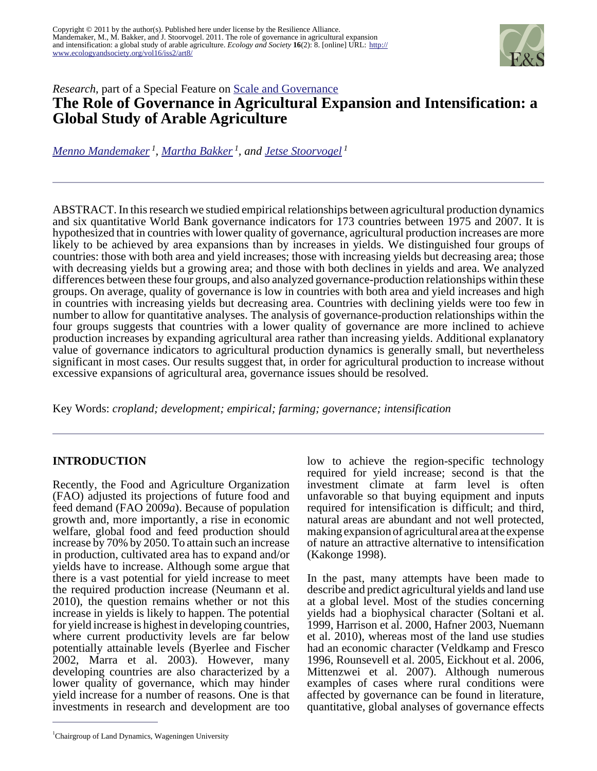

# *Research*, part of a Special Feature on [Scale and Governance](http://www.ecologyandsociety.org/viewissue.php?sf=57)

# **The Role of Governance in Agricultural Expansion and Intensification: a Global Study of Arable Agriculture**

*[Menno Mandemaker](mailto:menno.mandemaker@wur.nl)<sup>1</sup> , [Martha Bakker](mailto:Martha.bakker@wur.nl)<sup>1</sup>, and [Jetse Stoorvogel](mailto:jetse.stoorvogel@wur.nl)<sup>1</sup>*

ABSTRACT. In this research we studied empirical relationships between agricultural production dynamics and six quantitative World Bank governance indicators for 173 countries between 1975 and 2007. It is hypothesized that in countries with lower quality of governance, agricultural production increases are more likely to be achieved by area expansions than by increases in yields. We distinguished four groups of countries: those with both area and yield increases; those with increasing yields but decreasing area; those with decreasing yields but a growing area; and those with both declines in yields and area. We analyzed differences between these four groups, and also analyzed governance-production relationships within these groups. On average, quality of governance is low in countries with both area and yield increases and high in countries with increasing yields but decreasing area. Countries with declining yields were too few in number to allow for quantitative analyses. The analysis of governance-production relationships within the four groups suggests that countries with a lower quality of governance are more inclined to achieve production increases by expanding agricultural area rather than increasing yields. Additional explanatory value of governance indicators to agricultural production dynamics is generally small, but nevertheless significant in most cases. Our results suggest that, in order for agricultural production to increase without excessive expansions of agricultural area, governance issues should be resolved.

Key Words: *cropland; development; empirical; farming; governance; intensification*

## **INTRODUCTION**

Recently, the Food and Agriculture Organization (FAO) adjusted its projections of future food and feed demand (FAO 2009*a*). Because of population growth and, more importantly, a rise in economic welfare, global food and feed production should increase by 70% by 2050. To attain such an increase in production, cultivated area has to expand and/or yields have to increase. Although some argue that there is a vast potential for yield increase to meet the required production increase (Neumann et al. 2010), the question remains whether or not this increase in yields is likely to happen. The potential for yield increase is highest in developing countries, where current productivity levels are far below potentially attainable levels (Byerlee and Fischer 2002, Marra et al. 2003). However, many developing countries are also characterized by a lower quality of governance, which may hinder yield increase for a number of reasons. One is that investments in research and development are too

<sup>1</sup>Chairgroup of Land Dynamics, Wageningen University

low to achieve the region-specific technology required for yield increase; second is that the investment climate at farm level is often unfavorable so that buying equipment and inputs required for intensification is difficult; and third, natural areas are abundant and not well protected, making expansion of agricultural area at the expense of nature an attractive alternative to intensification (Kakonge 1998).

In the past, many attempts have been made to describe and predict agricultural yields and land use at a global level. Most of the studies concerning yields had a biophysical character (Soltani et al. 1999, Harrison et al. 2000, Hafner 2003, Nuemann et al. 2010), whereas most of the land use studies had an economic character (Veldkamp and Fresco 1996, Rounsevell et al. 2005, Eickhout et al. 2006, Mittenzwei et al. 2007). Although numerous examples of cases where rural conditions were affected by governance can be found in literature, quantitative, global analyses of governance effects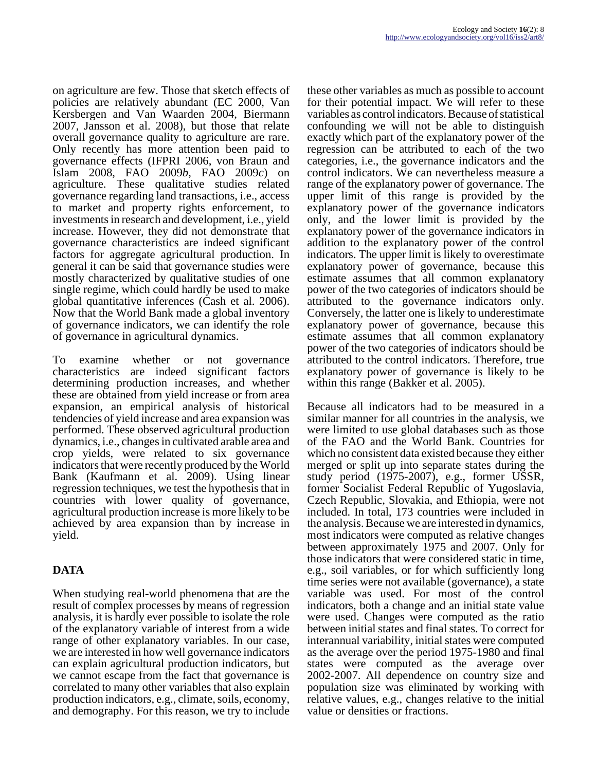on agriculture are few. Those that sketch effects of policies are relatively abundant (EC 2000, Van Kersbergen and Van Waarden 2004, Biermann 2007, Jansson et al. 2008), but those that relate overall governance quality to agriculture are rare. Only recently has more attention been paid to governance effects (IFPRI 2006, von Braun and Islam 2008, FAO 2009*b*, FAO 2009*c*) on agriculture. These qualitative studies related governance regarding land transactions, i.e., access to market and property rights enforcement, to investments in research and development, i.e., yield increase. However, they did not demonstrate that governance characteristics are indeed significant factors for aggregate agricultural production. In general it can be said that governance studies were mostly characterized by qualitative studies of one single regime, which could hardly be used to make global quantitative inferences (Cash et al. 2006). Now that the World Bank made a global inventory of governance indicators, we can identify the role of governance in agricultural dynamics.

To examine whether or not governance characteristics are indeed significant factors determining production increases, and whether these are obtained from yield increase or from area expansion, an empirical analysis of historical tendencies of yield increase and area expansion was performed. These observed agricultural production dynamics, i.e., changes in cultivated arable area and crop yields, were related to six governance indicators that were recently produced by the World Bank (Kaufmann et al. 2009). Using linear regression techniques, we test the hypothesis that in countries with lower quality of governance, agricultural production increase is more likely to be achieved by area expansion than by increase in yield.

# **DATA**

When studying real-world phenomena that are the result of complex processes by means of regression analysis, it is hardly ever possible to isolate the role of the explanatory variable of interest from a wide range of other explanatory variables. In our case, we are interested in how well governance indicators can explain agricultural production indicators, but we cannot escape from the fact that governance is correlated to many other variables that also explain production indicators, e.g., climate, soils, economy, and demography. For this reason, we try to include

these other variables as much as possible to account for their potential impact. We will refer to these variables as control indicators. Because of statistical confounding we will not be able to distinguish exactly which part of the explanatory power of the regression can be attributed to each of the two categories, i.e., the governance indicators and the control indicators. We can nevertheless measure a range of the explanatory power of governance. The upper limit of this range is provided by the explanatory power of the governance indicators only, and the lower limit is provided by the explanatory power of the governance indicators in addition to the explanatory power of the control indicators. The upper limit is likely to overestimate explanatory power of governance, because this estimate assumes that all common explanatory power of the two categories of indicators should be attributed to the governance indicators only. Conversely, the latter one is likely to underestimate explanatory power of governance, because this estimate assumes that all common explanatory power of the two categories of indicators should be attributed to the control indicators. Therefore, true explanatory power of governance is likely to be within this range (Bakker et al. 2005).

Because all indicators had to be measured in a similar manner for all countries in the analysis, we were limited to use global databases such as those of the FAO and the World Bank. Countries for which no consistent data existed because they either merged or split up into separate states during the study period (1975-2007), e.g., former USSR, former Socialist Federal Republic of Yugoslavia, Czech Republic, Slovakia, and Ethiopia, were not included. In total, 173 countries were included in the analysis. Because we are interested in dynamics, most indicators were computed as relative changes between approximately 1975 and 2007. Only for those indicators that were considered static in time, e.g., soil variables, or for which sufficiently long time series were not available (governance), a state variable was used. For most of the control indicators, both a change and an initial state value were used. Changes were computed as the ratio between initial states and final states. To correct for interannual variability, initial states were computed as the average over the period 1975-1980 and final states were computed as the average over 2002-2007. All dependence on country size and population size was eliminated by working with relative values, e.g., changes relative to the initial value or densities or fractions.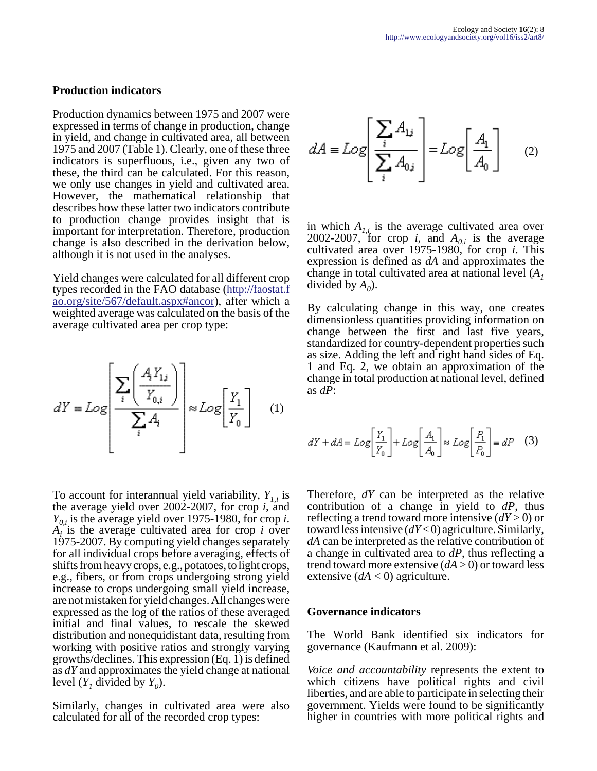#### **Production indicators**

Production dynamics between 1975 and 2007 were expressed in terms of change in production, change in yield, and change in cultivated area, all between 1975 and 2007 (Table 1). Clearly, one of these three indicators is superfluous, i.e., given any two of these, the third can be calculated. For this reason, we only use changes in yield and cultivated area. However, the mathematical relationship that describes how these latter two indicators contribute to production change provides insight that is important for interpretation. Therefore, production change is also described in the derivation below, although it is not used in the analyses.

Yield changes were calculated for all different crop types recorded in the FAO database ([http://faostat.f](http://faostat.fao.org/site/567/default.aspx#ancor) [ao.org/site/567/default.aspx#ancor\)](http://faostat.fao.org/site/567/default.aspx#ancor), after which a weighted average was calculated on the basis of the average cultivated area per crop type:

$$
dY = Log \left[ \frac{\sum_{i} \left( \frac{A_i Y_{1i}}{Y_{0,i}} \right)}{\sum_{i} A_i} \right] \approx Log \left[ \frac{Y_1}{Y_0} \right] \quad (1)
$$

To account for interannual yield variability, *Y1,i* is the average yield over 2002-2007, for crop *i*, and *Y0,i* is the average yield over 1975-1980, for crop *i*.  $A_i$  is the average cultivated area for crop *i* over 1975-2007. By computing yield changes separately for all individual crops before averaging, effects of shifts from heavy crops, e.g., potatoes, to light crops, e.g., fibers, or from crops undergoing strong yield increase to crops undergoing small yield increase, are not mistaken for yield changes. All changes were expressed as the log of the ratios of these averaged initial and final values, to rescale the skewed distribution and nonequidistant data, resulting from working with positive ratios and strongly varying growths/declines. This expression (Eq. 1) is defined as *dY* and approximates the yield change at national level  $(Y_I \text{ divided by } Y_0)$ .

Similarly, changes in cultivated area were also calculated for all of the recorded crop types:

$$
dA \equiv Log \left[ \frac{\sum_{i} A_{1i}}{\sum_{i} A_{0i}} \right] = Log \left[ \frac{A_1}{A_0} \right] \qquad (2)
$$

in which  $A_{1i}$  is the average cultivated area over 2002-2007, for crop *i*, and  $A_{0,i}$  is the average cultivated area over 1975-1980, for crop *i*. This expression is defined as *dA* and approximates the change in total cultivated area at national level (*A<sup>1</sup>* divided by  $A_0$ ).

By calculating change in this way, one creates dimensionless quantities providing information on change between the first and last five years, standardized for country-dependent properties such as size. Adding the left and right hand sides of Eq. 1 and Eq. 2, we obtain an approximation of the change in total production at national level, defined as *dP*:

$$
dY + dA = Log\left[\frac{Y_1}{Y_0}\right] + Log\left[\frac{A_1}{A_0}\right] \approx Log\left[\frac{P_1}{P_0}\right] = dP \quad (3)
$$

Therefore, *dY* can be interpreted as the relative contribution of a change in yield to *dP*, thus reflecting a trend toward more intensive (*dY* > 0) or toward less intensive (*dY* < 0) agriculture. Similarly, *dA* can be interpreted as the relative contribution of a change in cultivated area to *dP*, thus reflecting a trend toward more extensive  $(dA > 0)$  or toward less extensive  $(dA < 0)$  agriculture.

#### **Governance indicators**

The World Bank identified six indicators for governance (Kaufmann et al. 2009):

*Voice and accountability* represents the extent to which citizens have political rights and civil liberties, and are able to participate in selecting their government. Yields were found to be significantly higher in countries with more political rights and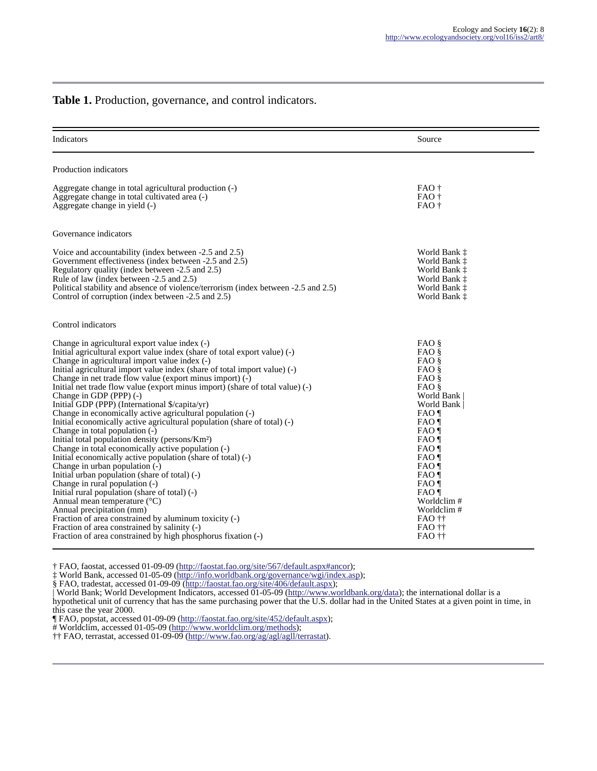#### **Table 1.** Production, governance, and control indicators.

| Indicators                                                                                                                                                                                                                                                                                                                                                                                                                                                                                                                                                                                                                                                                                                                                                                                                                                                                                                                                                                                                                                                                                                                                                                                                                                                                 | Source                                                                                                                                                                                                                       |
|----------------------------------------------------------------------------------------------------------------------------------------------------------------------------------------------------------------------------------------------------------------------------------------------------------------------------------------------------------------------------------------------------------------------------------------------------------------------------------------------------------------------------------------------------------------------------------------------------------------------------------------------------------------------------------------------------------------------------------------------------------------------------------------------------------------------------------------------------------------------------------------------------------------------------------------------------------------------------------------------------------------------------------------------------------------------------------------------------------------------------------------------------------------------------------------------------------------------------------------------------------------------------|------------------------------------------------------------------------------------------------------------------------------------------------------------------------------------------------------------------------------|
| Production indicators                                                                                                                                                                                                                                                                                                                                                                                                                                                                                                                                                                                                                                                                                                                                                                                                                                                                                                                                                                                                                                                                                                                                                                                                                                                      |                                                                                                                                                                                                                              |
| Aggregate change in total agricultural production (-)<br>Aggregate change in total cultivated area (-)<br>Aggregate change in yield (-)                                                                                                                                                                                                                                                                                                                                                                                                                                                                                                                                                                                                                                                                                                                                                                                                                                                                                                                                                                                                                                                                                                                                    | FAO †<br>FAO <sup>+</sup><br>FAO †                                                                                                                                                                                           |
| Governance indicators                                                                                                                                                                                                                                                                                                                                                                                                                                                                                                                                                                                                                                                                                                                                                                                                                                                                                                                                                                                                                                                                                                                                                                                                                                                      |                                                                                                                                                                                                                              |
| Voice and accountability (index between -2.5 and 2.5)<br>Government effectiveness (index between -2.5 and 2.5)<br>Regulatory quality (index between -2.5 and 2.5)<br>Rule of law (index between -2.5 and 2.5)<br>Political stability and absence of violence/terrorism (index between -2.5 and 2.5)<br>Control of corruption (index between -2.5 and 2.5)                                                                                                                                                                                                                                                                                                                                                                                                                                                                                                                                                                                                                                                                                                                                                                                                                                                                                                                  | World Bank t<br>World Bank <sup>†</sup><br>World Bank t<br>World Bank t<br>World Bank t<br>World Bank t                                                                                                                      |
| Control indicators                                                                                                                                                                                                                                                                                                                                                                                                                                                                                                                                                                                                                                                                                                                                                                                                                                                                                                                                                                                                                                                                                                                                                                                                                                                         |                                                                                                                                                                                                                              |
| Change in agricultural export value index (-)<br>Initial agricultural export value index (share of total export value) (-)<br>Change in agricultural import value index (-)<br>Initial agricultural import value index (share of total import value) (-)<br>Change in net trade flow value (export minus import) $(-)$<br>Initial net trade flow value (export minus import) (share of total value) $(-)$<br>Change in GDP (PPP) (-)<br>Initial GDP (PPP) (International \$/capita/yr)<br>Change in economically active agricultural population (-)<br>Initial economically active agricultural population (share of total) (-)<br>Change in total population (-)<br>Initial total population density (persons/Km <sup>2</sup> )<br>Change in total economically active population (-)<br>Initial economically active population (share of total) (-)<br>Change in urban population (-)<br>Initial urban population (share of total) (-)<br>Change in rural population (-)<br>Initial rural population (share of total) (-)<br>Annual mean temperature $(^{\circ}C)$<br>Annual precipitation (mm)<br>Fraction of area constrained by aluminum toxicity (-)<br>Fraction of area constrained by salinity (-)<br>Fraction of area constrained by high phosphorus fixation (-) | $FAO$ §<br>$FAO$ §<br>$FAO$ §<br>FAO §<br>FAO §<br>FAO §<br>World Bank<br>World Bank<br>FAO<br>FAO<br>FAO<br>FAO ¶<br>FAO ¶<br>FAO<br>FAO ¶<br>FAO ¶<br>FAO<br>FAO<br>Worldclim#<br>Worldclim#<br>FAO ††<br>FAO ††<br>FAO †† |

† FAO, faostat, accessed 01-09-09 ([http://faostat.fao.org/site/567/default.aspx#ancor\)](http://faostat.fao.org/site/567/default.aspx#ancor);

‡ World Bank, accessed 01-05-09 [\(http://info.worldbank.org/governance/wgi/index.asp](http://info.worldbank.org/governance/wgi/index.asp));

§ FAO, tradestat, accessed 01-09-09 [\(http://faostat.fao.org/site/406/default.aspx\)](http://faostat.fao.org/site/406/default.aspx);

| World Bank; World Development Indicators, accessed 01-05-09 [\(http://www.worldbank.org/data\)](http://www.worldbank.org/data); the international dollar is a hypothetical unit of currency that has the same purchasing power that the U.S. dollar had in the United States at a given point in time, in this case the year 2000.

¶ FAO, popstat, accessed 01-09-09 [\(http://faostat.fao.org/site/452/default.aspx](http://faostat.fao.org/site/452/default.aspx));

# Worldclim, accessed 01-05-09 [\(http://www.worldclim.org/methods\)](http://www.worldclim.org/methods);

†† FAO, terrastat, accessed 01-09-09 [\(http://www.fao.org/ag/agl/agll/terrastat](http://www.fao.org/ag/agl/agll/terrastat)).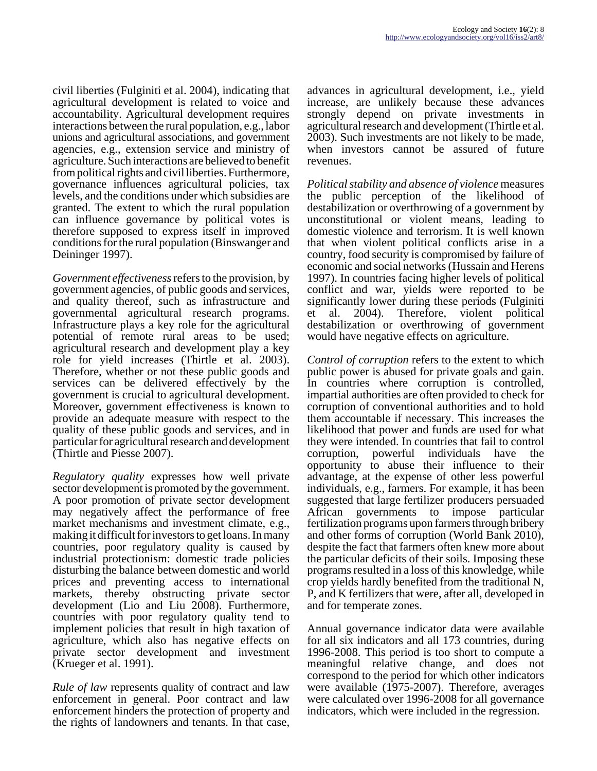civil liberties (Fulginiti et al. 2004), indicating that agricultural development is related to voice and accountability. Agricultural development requires interactions between the rural population, e.g., labor unions and agricultural associations, and government agencies, e.g., extension service and ministry of agriculture. Such interactions are believed to benefit from political rights and civil liberties. Furthermore, governance influences agricultural policies, tax levels, and the conditions under which subsidies are granted. The extent to which the rural population can influence governance by political votes is therefore supposed to express itself in improved conditions for the rural population (Binswanger and Deininger 1997).

*Government effectiveness* refers to the provision, by government agencies, of public goods and services, and quality thereof, such as infrastructure and governmental agricultural research programs. Infrastructure plays a key role for the agricultural potential of remote rural areas to be used; agricultural research and development play a key role for yield increases (Thirtle et al. 2003). Therefore, whether or not these public goods and services can be delivered effectively by the government is crucial to agricultural development. Moreover, government effectiveness is known to provide an adequate measure with respect to the quality of these public goods and services, and in particular for agricultural research and development (Thirtle and Piesse 2007).

*Regulatory quality* expresses how well private sector development is promoted by the government. A poor promotion of private sector development may negatively affect the performance of free market mechanisms and investment climate, e.g., making it difficult for investors to get loans. In many countries, poor regulatory quality is caused by industrial protectionism: domestic trade policies disturbing the balance between domestic and world prices and preventing access to international markets, thereby obstructing private sector development (Lio and Liu 2008). Furthermore, countries with poor regulatory quality tend to implement policies that result in high taxation of agriculture, which also has negative effects on private sector development and investment (Krueger et al. 1991).

*Rule of law* represents quality of contract and law enforcement in general. Poor contract and law enforcement hinders the protection of property and the rights of landowners and tenants. In that case,

advances in agricultural development, i.e., yield increase, are unlikely because these advances strongly depend on private investments in agricultural research and development (Thirtle et al. 2003). Such investments are not likely to be made, when investors cannot be assured of future revenues.

*Political stability and absence of violence* measures the public perception of the likelihood of destabilization or overthrowing of a government by unconstitutional or violent means, leading to domestic violence and terrorism. It is well known that when violent political conflicts arise in a country, food security is compromised by failure of economic and social networks (Hussain and Herens 1997). In countries facing higher levels of political conflict and war, yields were reported to be significantly lower during these periods (Fulginiti et al. 2004). Therefore, violent political destabilization or overthrowing of government would have negative effects on agriculture.

*Control of corruption* refers to the extent to which public power is abused for private goals and gain. In countries where corruption is controlled, impartial authorities are often provided to check for corruption of conventional authorities and to hold them accountable if necessary. This increases the likelihood that power and funds are used for what they were intended. In countries that fail to control corruption, powerful individuals have the opportunity to abuse their influence to their advantage, at the expense of other less powerful individuals, e.g., farmers. For example, it has been suggested that large fertilizer producers persuaded African governments to impose particular fertilization programs upon farmers through bribery and other forms of corruption (World Bank 2010), despite the fact that farmers often knew more about the particular deficits of their soils. Imposing these programs resulted in a loss of this knowledge, while crop yields hardly benefited from the traditional N, P, and K fertilizers that were, after all, developed in and for temperate zones.

Annual governance indicator data were available for all six indicators and all 173 countries, during 1996-2008. This period is too short to compute a meaningful relative change, and does not correspond to the period for which other indicators were available (1975-2007). Therefore, averages were calculated over 1996-2008 for all governance indicators, which were included in the regression.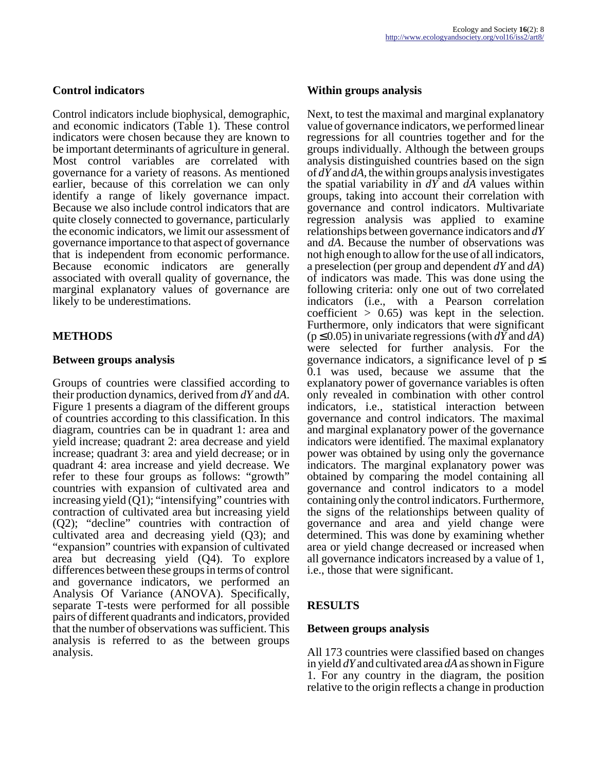#### **Control indicators**

Control indicators include biophysical, demographic, and economic indicators (Table 1). These control indicators were chosen because they are known to be important determinants of agriculture in general. Most control variables are correlated with governance for a variety of reasons. As mentioned earlier, because of this correlation we can only identify a range of likely governance impact. Because we also include control indicators that are quite closely connected to governance, particularly the economic indicators, we limit our assessment of governance importance to that aspect of governance that is independent from economic performance. Because economic indicators are generally associated with overall quality of governance, the marginal explanatory values of governance are likely to be underestimations.

#### **METHODS**

#### **Between groups analysis**

Groups of countries were classified according to their production dynamics, derived from *dY* and *dA*. Figure 1 presents a diagram of the different groups of countries according to this classification. In this diagram, countries can be in quadrant 1: area and yield increase; quadrant 2: area decrease and yield increase; quadrant 3: area and yield decrease; or in quadrant 4: area increase and yield decrease. We refer to these four groups as follows: "growth" countries with expansion of cultivated area and increasing yield  $(Q1)$ ; "intensifying" countries with contraction of cultivated area but increasing yield (Q2); "decline" countries with contraction of cultivated area and decreasing yield (Q3); and "expansion" countries with expansion of cultivated area but decreasing yield (Q4). To explore differences between these groups in terms of control and governance indicators, we performed an Analysis Of Variance (ANOVA). Specifically, separate T-tests were performed for all possible pairs of different quadrants and indicators, provided that the number of observations was sufficient. This analysis is referred to as the between groups analysis.

#### **Within groups analysis**

Next, to test the maximal and marginal explanatory value of governance indicators, we performed linear regressions for all countries together and for the groups individually. Although the between groups analysis distinguished countries based on the sign of *dY* and *dA,* the within groups analysis investigates the spatial variability in *dY* and *dA* values within groups, taking into account their correlation with governance and control indicators. Multivariate regression analysis was applied to examine relationships between governance indicators and *dY* and *dA*. Because the number of observations was not high enough to allow for the use of all indicators, a preselection (per group and dependent *dY* and *dA*) of indicators was made. This was done using the following criteria: only one out of two correlated indicators (i.e., with a Pearson correlation coefficient  $> 0.65$ ) was kept in the selection. Furthermore, only indicators that were significant (p ≤ 0.05) in univariate regressions (with *dY* and *dA*) were selected for further analysis. For the governance indicators, a significance level of  $p \leq$ 0.1 was used, because we assume that the explanatory power of governance variables is often only revealed in combination with other control indicators, i.e., statistical interaction between governance and control indicators. The maximal and marginal explanatory power of the governance indicators were identified. The maximal explanatory power was obtained by using only the governance indicators. The marginal explanatory power was obtained by comparing the model containing all governance and control indicators to a model containing only the control indicators. Furthermore, the signs of the relationships between quality of governance and area and yield change were determined. This was done by examining whether area or yield change decreased or increased when all governance indicators increased by a value of 1, i.e., those that were significant.

## **RESULTS**

#### **Between groups analysis**

All 173 countries were classified based on changes in yield *dY* and cultivated area *dA* as shown in Figure 1. For any country in the diagram, the position relative to the origin reflects a change in production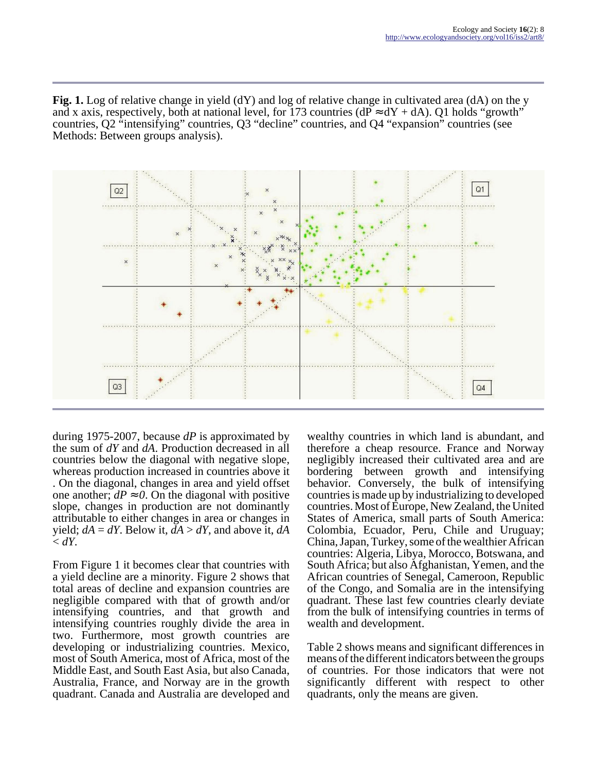Fig. 1. Log of relative change in yield (dY) and log of relative change in cultivated area (dA) on the y and x axis, respectively, both at national level, for 173 countries ( $dP \approx dY + dA$ ). Q1 holds "growth" countries, Q2 "intensifying" countries, Q3 "decline" countries, and Q4 "expansion" countries (see Methods: Between groups analysis).



during 1975-2007, because *dP* is approximated by the sum of *dY* and *dA*. Production decreased in all countries below the diagonal with negative slope, whereas production increased in countries above it . On the diagonal, changes in area and yield offset one another;  $dP \approx 0$ . On the diagonal with positive slope, changes in production are not dominantly attributable to either changes in area or changes in yield;  $dA = dY$ . Below it,  $dA > dY$ , and above it,  $dA$  $\leq dY$ .

From Figure 1 it becomes clear that countries with a yield decline are a minority. Figure 2 shows that total areas of decline and expansion countries are negligible compared with that of growth and/or intensifying countries, and that growth and intensifying countries roughly divide the area in two. Furthermore, most growth countries are developing or industrializing countries. Mexico, most of South America, most of Africa, most of the Middle East, and South East Asia, but also Canada, Australia, France, and Norway are in the growth quadrant. Canada and Australia are developed and

wealthy countries in which land is abundant, and therefore a cheap resource. France and Norway negligibly increased their cultivated area and are bordering between growth and intensifying behavior. Conversely, the bulk of intensifying countries is made up by industrializing to developed countries. Most of Europe, New Zealand, the United States of America, small parts of South America: Colombia, Ecuador, Peru, Chile and Uruguay; China, Japan, Turkey, some of the wealthier African countries: Algeria, Libya, Morocco, Botswana, and South Africa; but also Afghanistan, Yemen, and the African countries of Senegal, Cameroon, Republic of the Congo, and Somalia are in the intensifying quadrant. These last few countries clearly deviate from the bulk of intensifying countries in terms of wealth and development.

Table 2 shows means and significant differences in means of the different indicators between the groups of countries. For those indicators that were not significantly different with respect to other quadrants, only the means are given.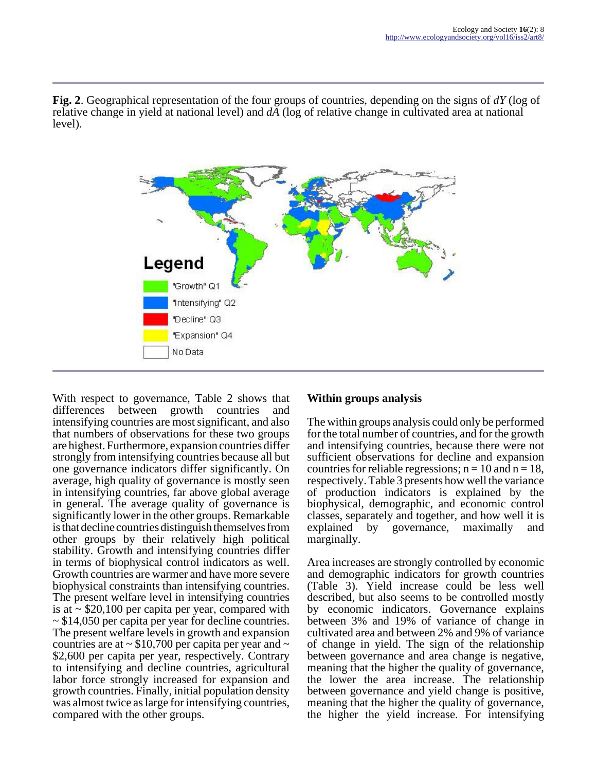**Fig. 2**. Geographical representation of the four groups of countries, depending on the signs of *dY* (log of relative change in yield at national level) and *dA* (log of relative change in cultivated area at national level).



With respect to governance, Table 2 shows that differences between growth countries and intensifying countries are most significant, and also that numbers of observations for these two groups are highest. Furthermore, expansion countries differ strongly from intensifying countries because all but one governance indicators differ significantly. On average, high quality of governance is mostly seen in intensifying countries, far above global average in general. The average quality of governance is significantly lower in the other groups. Remarkable is that decline countries distinguish themselves from other groups by their relatively high political stability. Growth and intensifying countries differ in terms of biophysical control indicators as well. Growth countries are warmer and have more severe biophysical constraints than intensifying countries. The present welfare level in intensifying countries is at  $\sim$  \$20,100 per capita per year, compared with ~ \$14,050 per capita per year for decline countries. The present welfare levels in growth and expansion countries are at  $\sim$  \$10,700 per capita per year and  $\sim$ \$2,600 per capita per year, respectively. Contrary to intensifying and decline countries, agricultural labor force strongly increased for expansion and growth countries. Finally, initial population density was almost twice as large for intensifying countries, compared with the other groups.

## **Within groups analysis**

The within groups analysis could only be performed for the total number of countries, and for the growth and intensifying countries, because there were not sufficient observations for decline and expansion countries for reliable regressions;  $n = 10$  and  $n = 18$ , respectively. Table 3 presents how well the variance of production indicators is explained by the biophysical, demographic, and economic control classes, separately and together, and how well it is explained by governance, maximally and marginally.

Area increases are strongly controlled by economic and demographic indicators for growth countries (Table 3). Yield increase could be less well described, but also seems to be controlled mostly by economic indicators. Governance explains between 3% and 19% of variance of change in cultivated area and between 2% and 9% of variance of change in yield. The sign of the relationship between governance and area change is negative, meaning that the higher the quality of governance, the lower the area increase. The relationship between governance and yield change is positive, meaning that the higher the quality of governance, the higher the yield increase. For intensifying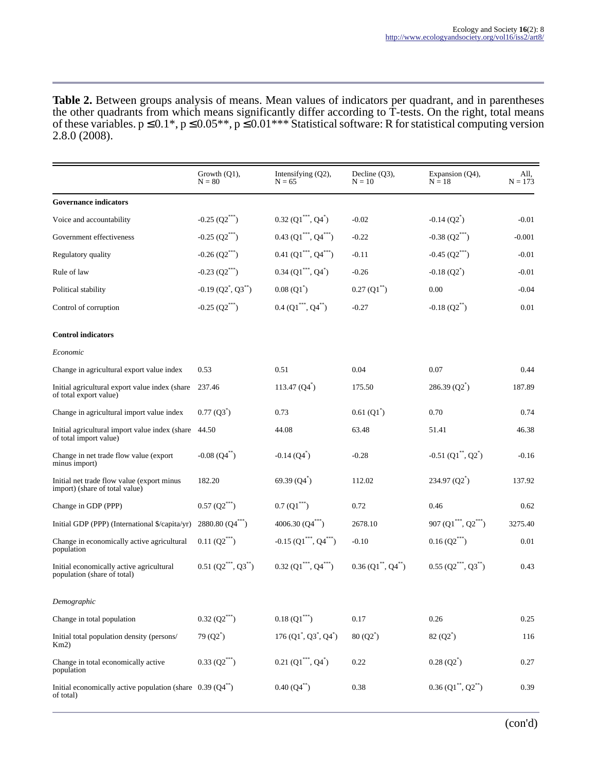**Table 2.** Between groups analysis of means. Mean values of indicators per quadrant, and in parentheses the other quadrants from which means significantly differ according to T-tests. On the right, total means of these variables.  $p \le 0.1^*$ ,  $p \le 0.05^{**}$ ,  $p \le 0.01^{***}$  Statistical software: R for statistical computing version 2.8.0 (2008).

|                                                                                | Growth (O1).<br>$N = 80$                      | Intensifying $(Q2)$ ,<br>$N = 65$ | Decline $(Q3)$ ,<br>$N = 10$ | Expansion (Q4),<br>$N = 18$           | All,<br>$N = 173$ |
|--------------------------------------------------------------------------------|-----------------------------------------------|-----------------------------------|------------------------------|---------------------------------------|-------------------|
| <b>Governance indicators</b>                                                   |                                               |                                   |                              |                                       |                   |
| Voice and accountability                                                       | $-0.25$ $(Q2***)$                             | $0.32 (Q1^{***}, Q4^{*})$         | $-0.02$                      | $-0.14(Q2)$ <sup>*</sup>              | $-0.01$           |
| Government effectiveness                                                       | $-0.25$ (Q2***)                               | $0.43 (Q1^{***}, Q4^{***})$       | $-0.22$                      | -0.38 $(Q2^{***})$                    | $-0.001$          |
| Regulatory quality                                                             | $-0.26$ (Q2***)                               | $0.41 (Q1^{***}, Q4^{***})$       | $-0.11$                      | $-0.45$ (Q2***)                       | $-0.01$           |
| Rule of law                                                                    | -0.23 $(Q2^{***})$                            | $0.34$ (Q1***, Q4*)               | $-0.26$                      | $-0.18(Q2)$                           | $-0.01$           |
| Political stability                                                            | $-0.19$ (Q2 <sup>*</sup> , Q3 <sup>**</sup> ) | $0.08(Q1^{*})$                    | $0.27(Q1^{**})$              | 0.00                                  | $-0.04$           |
| Control of corruption                                                          | -0.25 ${\rm (Q2)}^{***}$                      | $0.4 (Q1^{***}, Q4^{**})$         | $-0.27$                      | $-0.18(Q2^{**})$                      | 0.01              |
| <b>Control indicators</b>                                                      |                                               |                                   |                              |                                       |                   |
| Economic                                                                       |                                               |                                   |                              |                                       |                   |
| Change in agricultural export value index                                      | 0.53                                          | 0.51                              | 0.04                         | 0.07                                  | 0.44              |
| Initial agricultural export value index (share)<br>of total export value)      | 237.46                                        | $113.47(04^{*})$                  | 175.50                       | 286.39 (Q2)                           | 187.89            |
| Change in agricultural import value index                                      | $0.77(Q3^*)$                                  | 0.73                              | 0.61(Q1)                     | 0.70                                  | 0.74              |
| Initial agricultural import value index (share)<br>of total import value)      | 44.50                                         | 44.08                             | 63.48                        | 51.41                                 | 46.38             |
| Change in net trade flow value (export)<br>minus import)                       | $-0.08(Q4^{**})$                              | $-0.14(Q4)$                       | $-0.28$                      | -0.51 ${\rm (Q1}^{**}, {\rm Q2}^{*})$ | $-0.16$           |
| Initial net trade flow value (export minus)<br>import) (share of total value)  | 182.20                                        | 69.39(Q4)                         | 112.02                       | 234.97(Q2)                            | 137.92            |
| Change in GDP (PPP)                                                            | $0.57 \, (Q2^{***})$                          | $0.7 (Q1^{***})$                  | 0.72                         | 0.46                                  | 0.62              |
| Initial GDP (PPP) (International \$/capita/yr)                                 | 2880.80 $(Q4^{***})$                          | 4006.30 $(Q4^{***})$              | 2678.10                      | 907 ( $Q1^{***}$ , $Q2^{***}$ )       | 3275.40           |
| Change in economically active agricultural<br>population                       | $0.11(Q2***)$                                 | $-0.15$ (Q1***, Q4***)            | $-0.10$                      | $0.16 (Q2^{***})$                     | 0.01              |
| Initial economically active agricultural<br>population (share of total)        | $0.51 (Q2^{***}, Q3^{**})$                    | $0.32 (Q1^{***}, Q4^{***})$       | $0.36 (Q1^{**}, Q4^{**})$    | $0.55 (Q2^{***}, Q3^{**})$            | 0.43              |
| Demographic                                                                    |                                               |                                   |                              |                                       |                   |
| Change in total population                                                     | $0.32 (Q2^{***})$                             | $0.18(Q1^{***})$                  | 0.17                         | 0.26                                  | 0.25              |
| Initial total population density (persons/<br>Km2                              | 79 $(Q2^*)$                                   | $176 (Q1^*, Q3^*, Q4^*)$          | $80 (Q2^*)$                  | 82 (Q2)                               | 116               |
| Change in total economically active<br>population                              | $0.33 (Q2^{***})$                             | $0.21 (Q1^{***}, Q4^{*})$         | 0.22                         | 0.28(Q2)                              | 0.27              |
| Initial economically active population (share $0.39 \, (Q4^{**})$<br>of total) |                                               | $0.40(Q4^{**})$                   | 0.38                         | $0.36 (Q1^{**}, Q2^{**})$             | 0.39              |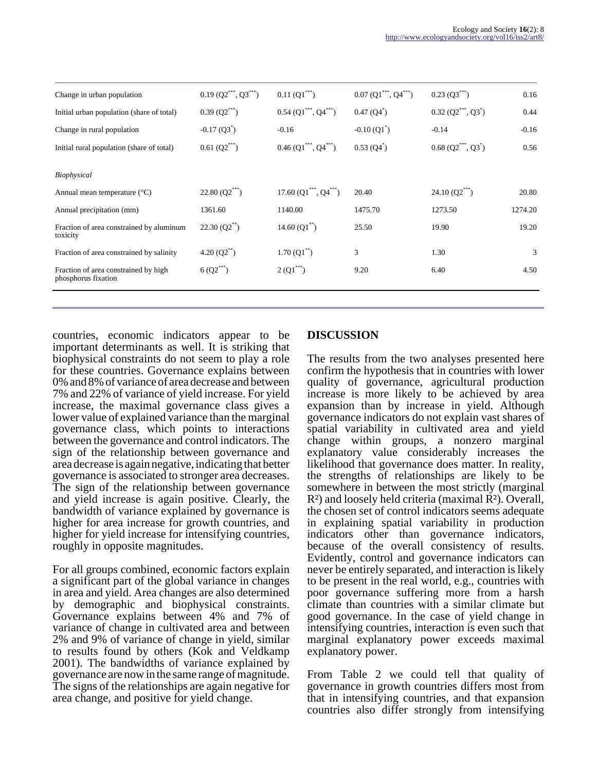| Change in urban population                                  | $0.19 (Q2^{***}, Q3^{***})$ | $0.11(Q1***)$                                   | $0.07 (Q1^{***}, Q4^{***})$ | $0.23(Q3^{***})$          | 0.16    |
|-------------------------------------------------------------|-----------------------------|-------------------------------------------------|-----------------------------|---------------------------|---------|
| Initial urban population (share of total)                   | $0.39 \, (Q2^{***})$        | $0.54$ (Q1 <sup>***</sup> , Q4 <sup>***</sup> ) | 0.47(Q4)                    | $0.32 (Q2^{***}, Q3^{*})$ | 0.44    |
| Change in rural population                                  | $-0.17(Q3)$                 | $-0.16$                                         | $-0.10(Q1)$                 | $-0.14$                   | $-0.16$ |
| Initial rural population (share of total)                   | $0.61 \ (Q2^{***})$         | $0.46 (Q1^{***}, Q4^{***})$                     | 0.53(Q4)                    | $0.68 (Q2^{***}, Q3^{*})$ | 0.56    |
| <i>Biophysical</i>                                          |                             |                                                 |                             |                           |         |
| Annual mean temperature $(^{\circ}C)$                       | $22.80 (Q2^{***})$          | $17.60 (Q1^{***}, Q4^{***})$                    | 20.40                       | $24.10(Q2^{**})$          | 20.80   |
| Annual precipitation (mm)                                   | 1361.60                     | 1140.00                                         | 1475.70                     | 1273.50                   | 1274.20 |
| Fraction of area constrained by aluminum<br>toxicity        | $22.30 (Q2^{**})$           | $14.60(Q1^{**})$                                | 25.50                       | 19.90                     | 19.20   |
| Fraction of area constrained by salinity                    | $4.20 (Q2^{**})$            | $1.70(Q1^{**})$                                 | 3                           | 1.30                      | 3       |
| Fraction of area constrained by high<br>phosphorus fixation | $6(Q2^{***})$               | $2(Q1^{***})$                                   | 9.20                        | 6.40                      | 4.50    |
|                                                             |                             |                                                 |                             |                           |         |

countries, economic indicators appear to be important determinants as well. It is striking that biophysical constraints do not seem to play a role for these countries. Governance explains between 0% and 8% of variance of area decrease and between 7% and 22% of variance of yield increase. For yield increase, the maximal governance class gives a lower value of explained variance than the marginal governance class, which points to interactions between the governance and control indicators. The sign of the relationship between governance and area decrease is again negative, indicating that better governance is associated to stronger area decreases. The sign of the relationship between governance and yield increase is again positive. Clearly, the bandwidth of variance explained by governance is higher for area increase for growth countries, and higher for yield increase for intensifying countries, roughly in opposite magnitudes.

For all groups combined, economic factors explain a significant part of the global variance in changes in area and yield. Area changes are also determined by demographic and biophysical constraints. Governance explains between 4% and 7% of variance of change in cultivated area and between 2% and 9% of variance of change in yield, similar to results found by others (Kok and Veldkamp 2001). The bandwidths of variance explained by governance are now in the same range of magnitude. The signs of the relationships are again negative for area change, and positive for yield change.

# **DISCUSSION**

The results from the two analyses presented here confirm the hypothesis that in countries with lower quality of governance, agricultural production increase is more likely to be achieved by area expansion than by increase in yield. Although governance indicators do not explain vast shares of spatial variability in cultivated area and yield change within groups, a nonzero marginal explanatory value considerably increases the likelihood that governance does matter. In reality, the strengths of relationships are likely to be somewhere in between the most strictly (marginal R²) and loosely held criteria (maximal R²). Overall, the chosen set of control indicators seems adequate in explaining spatial variability in production indicators other than governance indicators, because of the overall consistency of results. Evidently, control and governance indicators can never be entirely separated, and interaction is likely to be present in the real world, e.g., countries with poor governance suffering more from a harsh climate than countries with a similar climate but good governance. In the case of yield change in intensifying countries, interaction is even such that marginal explanatory power exceeds maximal explanatory power.

From Table 2 we could tell that quality of governance in growth countries differs most from that in intensifying countries, and that expansion countries also differ strongly from intensifying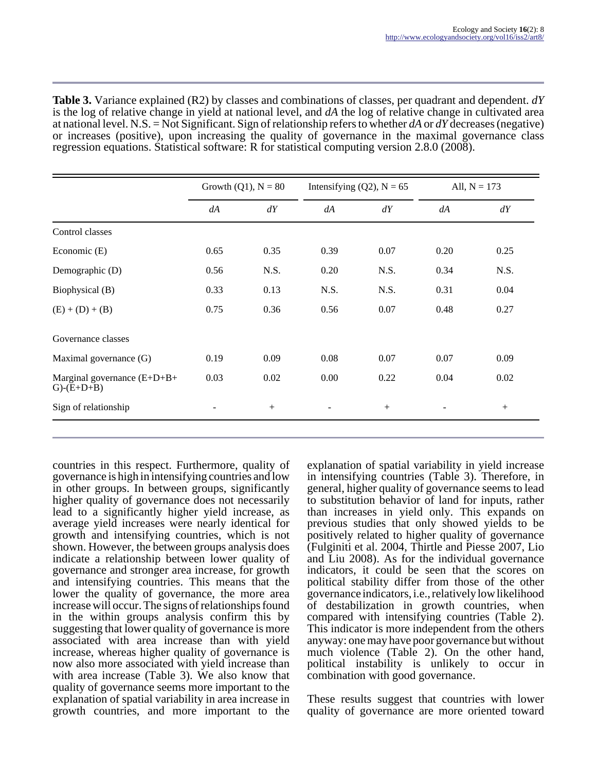**Table 3.** Variance explained (R2) by classes and combinations of classes, per quadrant and dependent. *dY* is the log of relative change in yield at national level, and *dA* the log of relative change in cultivated area at national level. N.S. = Not Significant. Sign of relationship refers to whether *dA* or *dY* decreases (negative) or increases (positive), upon increasing the quality of governance in the maximal governance class regression equations. Statistical software: R for statistical computing version 2.8.0 (2008).

|                                                   | Growth $(Q1)$ , $N = 80$ |        | Intensifying (Q2), $N = 65$ |        | All, $N = 173$ |        |
|---------------------------------------------------|--------------------------|--------|-----------------------------|--------|----------------|--------|
|                                                   | dA                       | dY     | dA                          | dY     | dA             | dY     |
| Control classes                                   |                          |        |                             |        |                |        |
| Economic (E)                                      | 0.65                     | 0.35   | 0.39                        | 0.07   | 0.20           | 0.25   |
| Demographic (D)                                   | 0.56                     | N.S.   | 0.20                        | N.S.   | 0.34           | N.S.   |
| Biophysical (B)                                   | 0.33                     | 0.13   | N.S.                        | N.S.   | 0.31           | 0.04   |
| $(E) + (D) + (B)$                                 | 0.75                     | 0.36   | 0.56                        | 0.07   | 0.48           | 0.27   |
| Governance classes                                |                          |        |                             |        |                |        |
| Maximal governance (G)                            | 0.19                     | 0.09   | 0.08                        | 0.07   | 0.07           | 0.09   |
| Marginal governance $(E+D+B+$<br>$G)$ - $(E+D+B)$ | 0.03                     | 0.02   | 0.00                        | 0.22   | 0.04           | 0.02   |
| Sign of relationship                              |                          | $^{+}$ | $\overline{\phantom{a}}$    | $^{+}$ |                | $^{+}$ |

countries in this respect. Furthermore, quality of governance is high in intensifying countries and low in other groups. In between groups, significantly higher quality of governance does not necessarily lead to a significantly higher yield increase, as average yield increases were nearly identical for growth and intensifying countries, which is not shown. However, the between groups analysis does indicate a relationship between lower quality of governance and stronger area increase, for growth and intensifying countries. This means that the lower the quality of governance, the more area increase will occur. The signs of relationships found in the within groups analysis confirm this by suggesting that lower quality of governance is more associated with area increase than with yield increase, whereas higher quality of governance is now also more associated with yield increase than with area increase (Table 3). We also know that quality of governance seems more important to the explanation of spatial variability in area increase in growth countries, and more important to the

explanation of spatial variability in yield increase in intensifying countries (Table 3). Therefore, in general, higher quality of governance seems to lead to substitution behavior of land for inputs, rather than increases in yield only. This expands on previous studies that only showed yields to be positively related to higher quality of governance (Fulginiti et al. 2004, Thirtle and Piesse 2007, Lio and Liu 2008). As for the individual governance indicators, it could be seen that the scores on political stability differ from those of the other governance indicators, i.e., relatively low likelihood of destabilization in growth countries, when compared with intensifying countries (Table 2). This indicator is more independent from the others anyway: one may have poor governance but without much violence (Table 2). On the other hand, political instability is unlikely to occur in combination with good governance.

These results suggest that countries with lower quality of governance are more oriented toward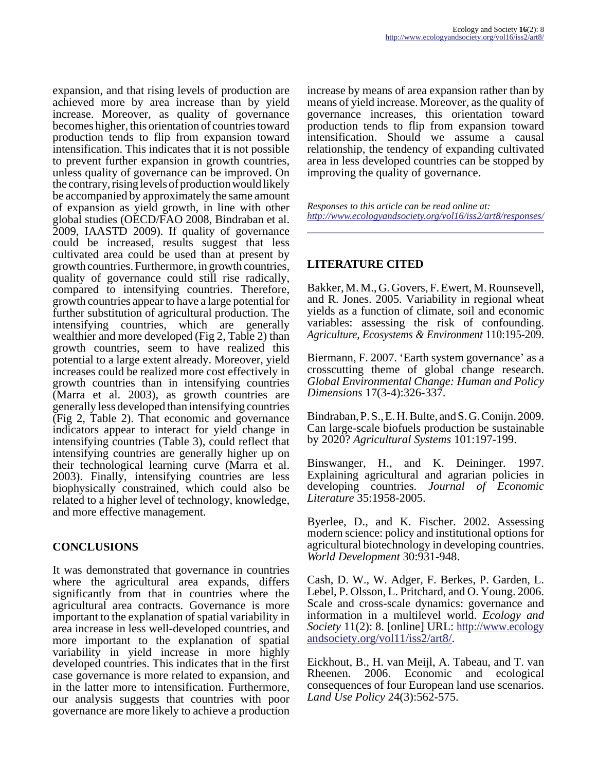expansion, and that rising levels of production are achieved more by area increase than by yield increase. Moreover, as quality of governance becomes higher, this orientation of countries toward production tends to flip from expansion toward intensification. This indicates that it is not possible to prevent further expansion in growth countries, unless quality of governance can be improved. On the contrary, rising levels of production would likely be accompanied by approximately the same amount of expansion as yield growth, in line with other global studies (OECD/FAO 2008, Bindraban et al. 2009, IAASTD 2009). If quality of governance could be increased, results suggest that less cultivated area could be used than at present by growth countries. Furthermore, in growth countries, quality of governance could still rise radically, compared to intensifying countries. Therefore, growth countries appear to have a large potential for further substitution of agricultural production. The intensifying countries, which are generally wealthier and more developed (Fig 2, Table 2) than growth countries, seem to have realized this potential to a large extent already. Moreover, yield increases could be realized more cost effectively in growth countries than in intensifying countries (Marra et al. 2003), as growth countries are generally less developed than intensifying countries (Fig 2, Table 2). That economic and governance indicators appear to interact for yield change in intensifying countries (Table 3), could reflect that intensifying countries are generally higher up on their technological learning curve (Marra et al. 2003). Finally, intensifying countries are less biophysically constrained, which could also be related to a higher level of technology, knowledge, and more effective management.

# **CONCLUSIONS**

It was demonstrated that governance in countries where the agricultural area expands, differs significantly from that in countries where the agricultural area contracts. Governance is more important to the explanation of spatial variability in area increase in less well-developed countries, and more important to the explanation of spatial variability in yield increase in more highly developed countries. This indicates that in the first case governance is more related to expansion, and in the latter more to intensification. Furthermore, our analysis suggests that countries with poor governance are more likely to achieve a production

increase by means of area expansion rather than by means of yield increase. Moreover, as the quality of governance increases, this orientation toward production tends to flip from expansion toward intensification. Should we assume a causal relationship, the tendency of expanding cultivated area in less developed countries can be stopped by improving the quality of governance.

*Responses to this article can be read online at: <http://www.ecologyandsociety.org/vol16/iss2/art8/responses/>*

# **LITERATURE CITED**

Bakker, M. M., G. Govers, F. Ewert, M. Rounsevell, and R. Jones. 2005. Variability in regional wheat yields as a function of climate, soil and economic variables: assessing the risk of confounding. *Agriculture, Ecosystems & Environment* 110:195-209.

Biermann, F. 2007. 'Earth system governance' as a crosscutting theme of global change research. *Global Environmental Change: Human and Policy Dimensions* 17(3-4):326-337.

Bindraban, P. S., E. H. Bulte, and S. G. Conijn. 2009. Can large-scale biofuels production be sustainable by 2020? *Agricultural Systems* 101:197-199.

Binswanger, H., and K. Deininger. 1997. Explaining agricultural and agrarian policies in developing countries. *Journal of Economic Literature* 35:1958-2005.

Byerlee, D., and K. Fischer. 2002. Assessing modern science: policy and institutional options for agricultural biotechnology in developing countries. *World Development* 30:931-948.

Cash, D. W., W. Adger, F. Berkes, P. Garden, L. Lebel, P. Olsson, L. Pritchard, and O. Young. 2006. Scale and cross-scale dynamics: governance and information in a multilevel world. *Ecology and Society* 11(2): 8. [online] URL: [http://www.ecology](http://www.ecologyandsociety.org/vol11/iss2/art8/) [andsociety.org/vol11/iss2/art8/](http://www.ecologyandsociety.org/vol11/iss2/art8/).

Eickhout, B., H. van Meijl, A. Tabeau, and T. van Rheenen. 2006. Economic and ecological consequences of four European land use scenarios. *Land Use Policy* 24(3):562-575.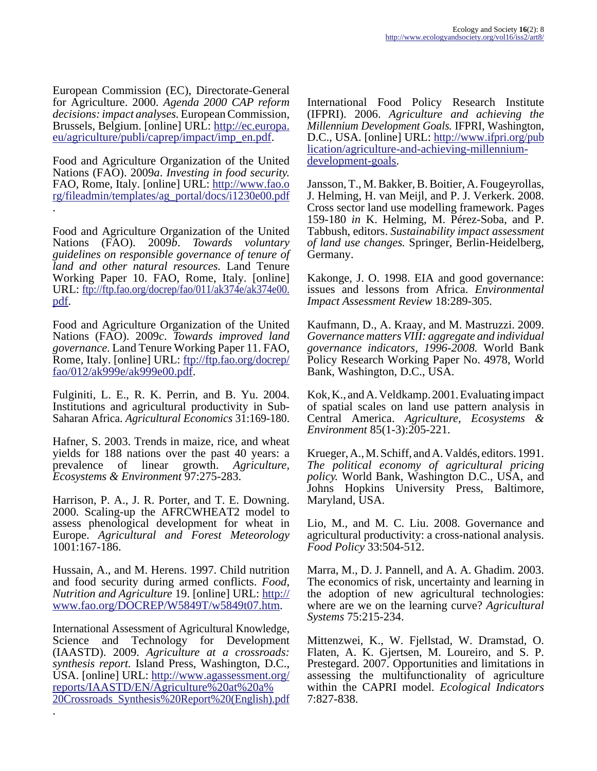European Commission (EC), Directorate-General for Agriculture. 2000. *Agenda 2000 CAP reform decisions: impact analyses.* European Commission, Brussels, Belgium. [online] URL: [http://ec.europa.](http://ec.europa.eu/agriculture/publi/caprep/impact/imp_en.pdf) [eu/agriculture/publi/caprep/impact/imp\\_en.pdf](http://ec.europa.eu/agriculture/publi/caprep/impact/imp_en.pdf).

Food and Agriculture Organization of the United Nations (FAO). 2009*a*. *Investing in food security.* FAO, Rome, Italy. [online] URL: [http://www.fao.o](http://www.fao.org/fileadmin/templates/ag_portal/docs/i1230e00.pdf) [rg/fileadmin/templates/ag\\_portal/docs/i1230e00.pdf](http://www.fao.org/fileadmin/templates/ag_portal/docs/i1230e00.pdf) .

Food and Agriculture Organization of the United Nations (FAO). 2009*b*. *Towards voluntary guidelines on responsible governance of tenure of land and other natural resources.* Land Tenure Working Paper 10. FAO, Rome, Italy. [online] URL: [ftp://ftp.fao.org/docrep/fao/011/ak374e/ak374e00.](http://ftp://ftp.fao.org/docrep/fao/011/ak374e/ak374e00.pdf) [pdf.](http://ftp://ftp.fao.org/docrep/fao/011/ak374e/ak374e00.pdf)

Food and Agriculture Organization of the United Nations (FAO). 2009*c*. *Towards improved land governance.* Land Tenure Working Paper 11. FAO, Rome, Italy. [online] URL: [ftp://ftp.fao.org/docrep/](http://ftp://ftp.fao.org/docrep/fao/012/ak999e/ak999e00.pdf) [fao/012/ak999e/ak999e00.pdf.](http://ftp://ftp.fao.org/docrep/fao/012/ak999e/ak999e00.pdf)

Fulginiti, L. E., R. K. Perrin, and B. Yu. 2004. Institutions and agricultural productivity in Sub-Saharan Africa. *Agricultural Economics* 31:169-180.

Hafner, S. 2003. Trends in maize, rice, and wheat yields for 188 nations over the past 40 years: a prevalence of linear growth. *Agriculture, Ecosystems & Environment* 97:275-283.

Harrison, P. A., J. R. Porter, and T. E. Downing. 2000. Scaling-up the AFRCWHEAT2 model to assess phenological development for wheat in Europe. *Agricultural and Forest Meteorology* 1001:167-186.

Hussain, A., and M. Herens. 1997. Child nutrition and food security during armed conflicts. *Food, Nutrition and Agriculture* 19. [online] URL: [http://](http://www.fao.org/DOCREP/W5849T/w5849t07.htm) [www.fao.org/DOCREP/W5849T/w5849t07.htm.](http://www.fao.org/DOCREP/W5849T/w5849t07.htm)

International Assessment of Agricultural Knowledge, Science and Technology for Development (IAASTD). 2009. *Agriculture at a crossroads: synthesis report.* Island Press, Washington, D.C., USA. [online] URL: [http://www.agassessment.org/](http://www.agassessment.org/reports/IAASTD/EN/Agriculture%20at%20a%20Crossroads_Synthesis%20Report%20(English).pdf) [reports/IAASTD/EN/Agriculture%20at%20a%](http://www.agassessment.org/reports/IAASTD/EN/Agriculture%20at%20a%20Crossroads_Synthesis%20Report%20(English).pdf) [20Crossroads\\_Synthesis%20Report%20\(English\).pdf](http://www.agassessment.org/reports/IAASTD/EN/Agriculture%20at%20a%20Crossroads_Synthesis%20Report%20(English).pdf) .

International Food Policy Research Institute (IFPRI). 2006. *Agriculture and achieving the Millennium Development Goals.* IFPRI, Washington, D.C., USA. [online] URL: [http://www.ifpri.org/pub](http://www.ifpri.org/publication/agriculture-and-achieving-millennium-development-goals) lication/agriculture-and-achieving-millennium[development-goals](http://www.ifpri.org/publication/agriculture-and-achieving-millennium-development-goals).

Jansson, T., M. Bakker, B. Boitier, A. Fougeyrollas, J. Helming, H. van Meijl, and P. J. Verkerk. 2008. Cross sector land use modelling framework. Pages 159-180 *in* K. Helming, M. Pérez-Soba, and P. Tabbush, editors. *Sustainability impact assessment of land use changes.* Springer, Berlin-Heidelberg, Germany.

Kakonge, J. O. 1998. EIA and good governance: issues and lessons from Africa. *Environmental Impact Assessment Review* 18:289-305.

Kaufmann, D., A. Kraay, and M. Mastruzzi. 2009. *Governance matters VIII: aggregate and individual governance indicators, 1996-2008.* World Bank Policy Research Working Paper No. 4978, World Bank, Washington, D.C., USA.

Kok, K., and A. Veldkamp. 2001. Evaluating impact of spatial scales on land use pattern analysis in Central America. *Agriculture, Ecosystems & Environment* 85(1-3):205-221.

Krueger, A., M. Schiff, and A. Valdés, editors. 1991. *The political economy of agricultural pricing policy.* World Bank, Washington D.C., USA, and Johns Hopkins University Press, Baltimore, Maryland, USA.

Lio, M., and M. C. Liu. 2008. Governance and agricultural productivity: a cross-national analysis. *Food Policy* 33:504-512.

Marra, M., D. J. Pannell, and A. A. Ghadim. 2003. The economics of risk, uncertainty and learning in the adoption of new agricultural technologies: where are we on the learning curve? *Agricultural Systems* 75:215-234.

Mittenzwei, K., W. Fjellstad, W. Dramstad, O. Flaten, A. K. Gjertsen, M. Loureiro, and S. P. Prestegard. 2007. Opportunities and limitations in assessing the multifunctionality of agriculture within the CAPRI model. *Ecological Indicators* 7:827-838.